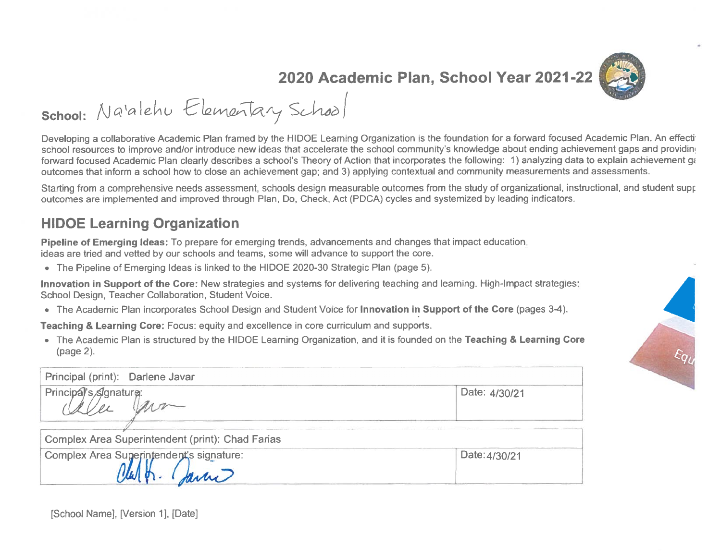

2020 Academic Plan, School Year 2021-22

school: Na'alehu Elementary School

Developing a collaborative Academic Plan framed by the HIDOE Learning Organization is the foundation for a forward focused Academic Plan. An effecting school resources to improve and/or introduce new ideas that accelerate the school community's knowledge about ending achievement gaps and providing forward focused Academic Plan clearly describes a school's Theory of Action that incorporates the following: 1) analyzing data to explain achievement ga outcomes that inform a school how to close an achievement gap; and 3) applying contextual and community measurements and assessments.

Starting from a comprehensive needs assessment, schools design measurable outcomes from the study of organizational, instructional, and student supr outcomes are implemented and improved through Plan, Do, Check, Act (PDCA) cycles and systemized by leading indicators.

#### **HIDOE Learning Organization**

Pipeline of Emerging Ideas: To prepare for emerging trends, advancements and changes that impact education, ideas are tried and vetted by our schools and teams, some will advance to support the core.

• The Pipeline of Emerging Ideas is linked to the HIDOE 2020-30 Strategic Plan (page 5).

Innovation in Support of the Core: New strategies and systems for delivering teaching and leaming. High-Impact strategies: School Design, Teacher Collaboration, Student Voice.

• The Academic Plan incorporates School Design and Student Voice for Innovation in Support of the Core (pages 3-4).

Teaching & Learning Core: Focus: equity and excellence in core curriculum and supports.

. The Academic Plan is structured by the HIDOE Learning Organization, and it is founded on the Teaching & Learning Core (page 2).



Principal (print): Darlene Javar Principal's Signature: Date: 4/30/21 Complex Area Superintendent (print): Chad Farias Complex Area Superintendent's signature: Date: 4/30/21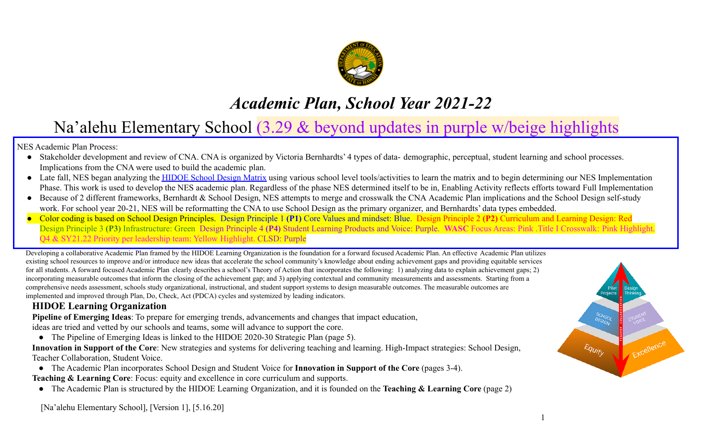

# *Academic Plan, School Year 2021-22*

# Na'alehu Elementary School (3.29 & beyond updates in purple w/beige highlights

NES Academic Plan Process:

- Stakeholder development and review of CNA. CNA is organized by Victoria Bernhardts' 4 types of data- demographic, perceptual, student learning and school processes. Implications from the CNA were used to build the academic plan.
- Late fall, NES began analyzing the [HIDOE School Design](https://drive.google.com/file/d/1dsyKBDAZoy8Zd9Nc_tNIE4X8iHl0slSi/view) Matrix using various school level tools/activities to learn the matrix and to begin determining our NES Implementation Phase. This work is used to develop the NES academic plan. Regardless of the phase NES determined itself to be in, Enabling Activity reflects efforts toward Full Implementation
- Because of 2 different frameworks, Bernhardt & School Design, NES attempts to merge and crosswalk the CNA Academic Plan implications and the School Design self-study work. For school year 20-21, NES will be reformatting the CNA to use School Design as the primary organizer, and Bernhardts' data types embedded.
- Color coding is based on School Design Principles. Design Principle 1 **(P1)** Core Values and mindset: Blue. Design Principle 2 **(P2)** Curriculum and Learning Design: Red Design Principle 3 **(P3)** Infrastructure: Green Design Principle 4 **(P4)** Student Learning Products and Voice: Purple. **WASC** Focus Areas: Pink .Title I Crosswalk: Pink Highlight. Q4 & SY21.22 Priority per leadership team: Yellow Highlight. CLSD: Purple

Developing a collaborative Academic Plan framed by the HIDOE Learning Organization is the foundation for a forward focused Academic Plan. An effective Academic Plan utilizes existing school resources to improve and/or introduce new ideas that accelerate the school community's knowledge about ending achievement gaps and providing equitable services for all students. A forward focused Academic Plan clearly describes a school's Theory of Action that incorporates the following: 1) analyzing data to explain achievement gaps; 2) incorporating measurable outcomes that inform the closing of the achievement gap; and 3) applying contextual and community measurements and assessments. Starting from a comprehensive needs assessment, schools study organizational, instructional, and student support systems to design measurable outcomes. The measurable outcomes are implemented and improved through Plan, Do, Check, Act (PDCA) cycles and systemized by leading indicators.

### **HIDOE Learning Organization**

**Pipeline of Emerging Ideas**: To prepare for emerging trends, advancements and changes that impact education, ideas are tried and vetted by our schools and teams, some will advance to support the core.

● The Pipeline of Emerging Ideas is linked to the HIDOE 2020-30 Strategic Plan (page 5).

**Innovation in Support of the Core**: New strategies and systems for delivering teaching and learning. High-Impact strategies: School Design, Teacher Collaboration, Student Voice.

● The Academic Plan incorporates School Design and Student Voice for **Innovation in Support of the Core** (pages 3-4).

**Teaching & Learning Core:** Focus: equity and excellence in core curriculum and supports.

● The Academic Plan is structured by the HIDOE Learning Organization, and it is founded on the **Teaching & Learning Core** (page 2)



[Na'alehu Elementary School], [Version 1], [5.16.20]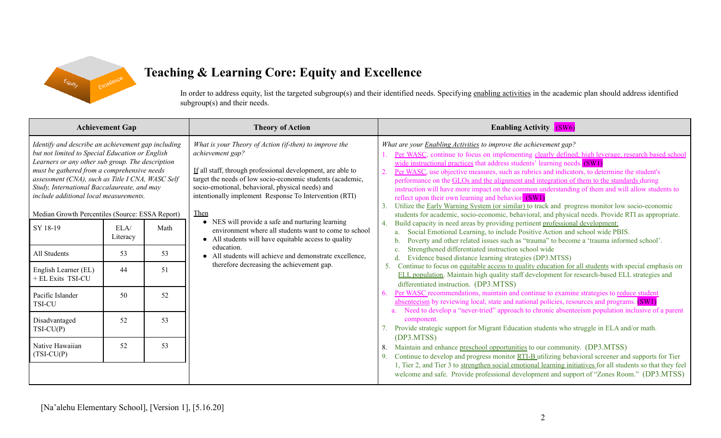

## **Teaching & Learning Core: Equity and Excellence**

In order to address equity, list the targeted subgroup(s) and their identified needs. Specifying enabling [activities](https://docs.google.com/document/d/1_CBCCCUPTqpr2sEeh1fQ9EUVupyhBBZlYUdzcm9zCw0/edit) in the academic plan should address identified subgroup(s) and their needs.

| <b>Achievement Gap</b>                                                                                                                                                                                                                                                                                                                                                                                                                                                                                                                                                                                                                                                            | <b>Theory of Action</b>                                                                                                                                                                                                                                                                                                                                                                                                                                                                                                                                                                                                         | <b>Enabling Activity</b> (SW6)                                                                                                                                                                                                                                                                                                                                                                                                                                                                                                                                                                                                                                                                                                                                                                                                                                                                                                                                                                                                                                                                                                                                                                                                                                                                                                                                                                                                                                                                                                                                                                                                                                                                                                                                                                                                                                                                                                                                                                                                                                                                                                                                                                                                                                                                                                    |
|-----------------------------------------------------------------------------------------------------------------------------------------------------------------------------------------------------------------------------------------------------------------------------------------------------------------------------------------------------------------------------------------------------------------------------------------------------------------------------------------------------------------------------------------------------------------------------------------------------------------------------------------------------------------------------------|---------------------------------------------------------------------------------------------------------------------------------------------------------------------------------------------------------------------------------------------------------------------------------------------------------------------------------------------------------------------------------------------------------------------------------------------------------------------------------------------------------------------------------------------------------------------------------------------------------------------------------|-----------------------------------------------------------------------------------------------------------------------------------------------------------------------------------------------------------------------------------------------------------------------------------------------------------------------------------------------------------------------------------------------------------------------------------------------------------------------------------------------------------------------------------------------------------------------------------------------------------------------------------------------------------------------------------------------------------------------------------------------------------------------------------------------------------------------------------------------------------------------------------------------------------------------------------------------------------------------------------------------------------------------------------------------------------------------------------------------------------------------------------------------------------------------------------------------------------------------------------------------------------------------------------------------------------------------------------------------------------------------------------------------------------------------------------------------------------------------------------------------------------------------------------------------------------------------------------------------------------------------------------------------------------------------------------------------------------------------------------------------------------------------------------------------------------------------------------------------------------------------------------------------------------------------------------------------------------------------------------------------------------------------------------------------------------------------------------------------------------------------------------------------------------------------------------------------------------------------------------------------------------------------------------------------------------------------------------|
| Identify and describe an achievement gap including<br>but not limited to Special Education or English<br>Learners or any other sub group. The description<br>must be gathered from a comprehensive needs<br>assessment (CNA), such as Title I CNA, WASC Self<br>Study, International Baccalaureate, and may<br>include additional local measurements.<br>Median Growth Percentiles (Source: ESSA Report)<br>SY 18-19<br>ELA/<br>Math<br>Literacy<br>53<br>All Students<br>53<br>51<br>English Learner (EL)<br>44<br>+ EL Exits TSI-CU<br>Pacific Islander<br>52<br>50<br><b>TSI-CU</b><br>53<br>Disadvantaged<br>52<br>$TSI-CU(P)$<br>53<br>Native Hawaiian<br>52<br>$(TSI-CU(P)$ | What is your Theory of Action (if-then) to improve the<br>achievement gap?<br>If all staff, through professional development, are able to<br>target the needs of low socio-economic students (academic,<br>socio-emotional, behavioral, physical needs) and<br>intentionally implement Response To Intervention (RTI)<br><b>Then</b><br>• NES will provide a safe and nurturing learning<br>environment where all students want to come to school<br>• All students will have equitable access to quality<br>education.<br>• All students will achieve and demonstrate excellence,<br>therefore decreasing the achievement gap. | What are your <b>Enabling Activities</b> to improve the achievement gap?<br>Per WASC, continue to focus on implementing clearly defined, high leverage, research based school<br>wide instructional practices that address students' learning needs. (SW1)<br>$\overline{2}$ .<br>Per WASC, use objective measures, such as rubrics and indicators, to determine the student's<br>performance on the GLOs and the alignment and integration of them to the standards during<br>instruction will have more impact on the common understanding of them and will allow students to<br>reflect upon their own learning and behavior (SW1)<br>Utilize the Early Warning System (or similar) to track and progress monitor low socio-economic<br>3.<br>students for academic, socio-economic, behavioral, and physical needs. Provide RTI as appropriate.<br>Build capacity in need areas by providing pertinent professional development:<br>4.<br>Social Emotional Learning, to include Positive Action and school wide PBIS.<br>Poverty and other related issues such as "trauma" to become a 'trauma informed school'.<br>Strengthened differentiated instruction school wide<br>Evidence based distance learning strategies (DP3.MTSS)<br>Continue to focus on equitable access to quality education for all students with special emphasis on<br>5.<br>ELL population. Maintain high quality staff development for research-based ELL strategies and<br>differentiated instruction. (DP3.MTSS)<br>Per WASC recommendations, maintain and continue to examine strategies to reduce student<br>absenteeism by reviewing local, state and national policies, resources and programs. (SW1)<br>Need to develop a "never-tried" approach to chronic absenteeism population inclusive of a parent<br>component.<br>Provide strategic support for Migrant Education students who struggle in ELA and/or math.<br>(DP3.MTSS)<br>Maintain and enhance preschool opportunities to our community. (DP3.MTSS)<br>8.<br>Continue to develop and progress monitor RTI-B utilizing behavioral screener and supports for Tier<br>9.<br>1, Tier 2, and Tier 3 to strengthen social emotional learning initiatives for all students so that they feel<br>welcome and safe. Provide professional development and support of "Zones Room." (DP3.MTSS) |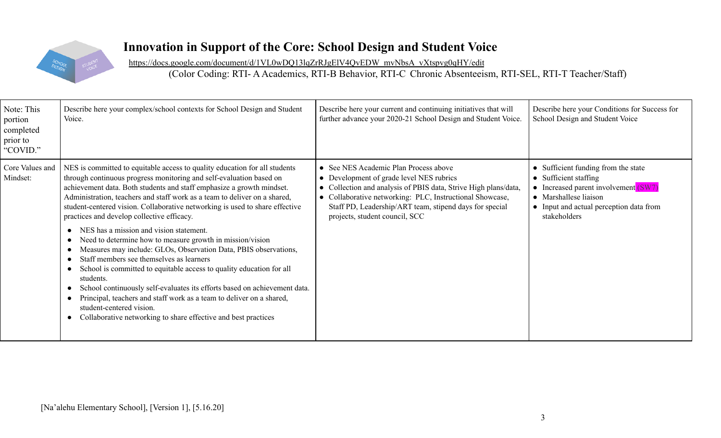

## **Innovation in Support of the Core: School Design and Student Voice**

[https://docs.google.com/document/d/1VL0wDQ13lqZrRJgElV4QvEDW\\_mvNbsA\\_vXtspvg0qHY/edit](https://docs.google.com/document/d/1VL0wDQ13lqZrRJgElV4QvEDW_mvNbsA_vXtspvg0qHY/edit)

(Color Coding: RTI- AAcademics, RTI-B Behavior, RTI-C Chronic Absenteeism, RTI-SEL, RTI-T Teacher/Staff)

| Note: This<br>portion<br>completed<br>prior to<br>"COVID." | Describe here your complex/school contexts for School Design and Student<br>Voice.                                                                                                                                                                                                                                                                                                                                                                                                                                                                                                                                                                                                                                                                                                                                                                                                                                                                                                                                 | Describe here your current and continuing initiatives that will<br>further advance your 2020-21 School Design and Student Voice.                                                                                                                                                                              | Describe here your Conditions for Success for<br>School Design and Student Voice                                                                                                                  |
|------------------------------------------------------------|--------------------------------------------------------------------------------------------------------------------------------------------------------------------------------------------------------------------------------------------------------------------------------------------------------------------------------------------------------------------------------------------------------------------------------------------------------------------------------------------------------------------------------------------------------------------------------------------------------------------------------------------------------------------------------------------------------------------------------------------------------------------------------------------------------------------------------------------------------------------------------------------------------------------------------------------------------------------------------------------------------------------|---------------------------------------------------------------------------------------------------------------------------------------------------------------------------------------------------------------------------------------------------------------------------------------------------------------|---------------------------------------------------------------------------------------------------------------------------------------------------------------------------------------------------|
| Core Values and<br>Mindset:                                | NES is committed to equitable access to quality education for all students<br>through continuous progress monitoring and self-evaluation based on<br>achievement data. Both students and staff emphasize a growth mindset.<br>Administration, teachers and staff work as a team to deliver on a shared,<br>student-centered vision. Collaborative networking is used to share effective<br>practices and develop collective efficacy.<br>NES has a mission and vision statement.<br>$\bullet$<br>Need to determine how to measure growth in mission/vision<br>Measures may include: GLOs, Observation Data, PBIS observations,<br>Staff members see themselves as learners<br>School is committed to equitable access to quality education for all<br>students.<br>School continuously self-evaluates its efforts based on achievement data.<br>Principal, teachers and staff work as a team to deliver on a shared,<br>student-centered vision.<br>Collaborative networking to share effective and best practices | • See NES Academic Plan Process above<br>• Development of grade level NES rubrics<br>• Collection and analysis of PBIS data, Strive High plans/data,<br>• Collaborative networking: PLC, Instructional Showcase,<br>Staff PD, Leadership/ART team, stipend days for special<br>projects, student council, SCC | Sufficient funding from the state<br>$\bullet$<br>• Sufficient staffing<br>Increased parent involvement (SW7)<br>• Marshallese liaison<br>• Input and actual perception data from<br>stakeholders |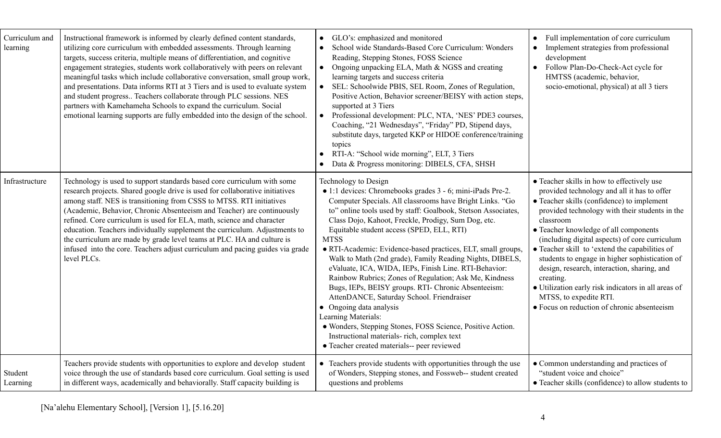| Curriculum and<br>learning | Instructional framework is informed by clearly defined content standards,<br>utilizing core curriculum with embedded assessments. Through learning<br>targets, success criteria, multiple means of differentiation, and cognitive<br>engagement strategies, students work collaboratively with peers on relevant<br>meaningful tasks which include collaborative conversation, small group work,<br>and presentations. Data informs RTI at 3 Tiers and is used to evaluate system<br>and student progress Teachers collaborate through PLC sessions. NES<br>partners with Kamehameha Schools to expand the curriculum. Social<br>emotional learning supports are fully embedded into the design of the school. | GLO's: emphasized and monitored<br>$\bullet$<br>School wide Standards-Based Core Curriculum: Wonders<br>Reading, Stepping Stones, FOSS Science<br>Ongoing unpacking ELA, Math & NGSS and creating<br>$\bullet$<br>learning targets and success criteria<br>SEL: Schoolwide PBIS, SEL Room, Zones of Regulation,<br>$\bullet$<br>Positive Action, Behavior screener/BEISY with action steps,<br>supported at 3 Tiers<br>Professional development: PLC, NTA, 'NES' PDE3 courses,<br>$\bullet$<br>Coaching, "21 Wednesdays", "Friday" PD, Stipend days,<br>substitute days, targeted KKP or HIDOE conference/training<br>topics<br>RTI-A: "School wide morning", ELT, 3 Tiers<br>Data & Progress monitoring: DIBELS, CFA, SHSH                                                                                                                                                                         | Full implementation of core curriculum<br>$\bullet$<br>Implement strategies from professional<br>development<br>Follow Plan-Do-Check-Act cycle for<br>HMTSS (academic, behavior,<br>socio-emotional, physical) at all 3 tiers                                                                                                                                                                                                                                                                                                                                                                     |
|----------------------------|----------------------------------------------------------------------------------------------------------------------------------------------------------------------------------------------------------------------------------------------------------------------------------------------------------------------------------------------------------------------------------------------------------------------------------------------------------------------------------------------------------------------------------------------------------------------------------------------------------------------------------------------------------------------------------------------------------------|-----------------------------------------------------------------------------------------------------------------------------------------------------------------------------------------------------------------------------------------------------------------------------------------------------------------------------------------------------------------------------------------------------------------------------------------------------------------------------------------------------------------------------------------------------------------------------------------------------------------------------------------------------------------------------------------------------------------------------------------------------------------------------------------------------------------------------------------------------------------------------------------------------|---------------------------------------------------------------------------------------------------------------------------------------------------------------------------------------------------------------------------------------------------------------------------------------------------------------------------------------------------------------------------------------------------------------------------------------------------------------------------------------------------------------------------------------------------------------------------------------------------|
| Infrastructure             | Technology is used to support standards based core curriculum with some<br>research projects. Shared google drive is used for collaborative initiatives<br>among staff. NES is transitioning from CSSS to MTSS. RTI initiatives<br>(Academic, Behavior, Chronic Absenteeism and Teacher) are continuously<br>refined. Core curriculum is used for ELA, math, science and character<br>education. Teachers individually supplement the curriculum. Adjustments to<br>the curriculum are made by grade level teams at PLC. HA and culture is<br>infused into the core. Teachers adjust curriculum and pacing guides via grade<br>level PLCs.                                                                     | Technology to Design<br>· 1:1 devices: Chromebooks grades 3 - 6; mini-iPads Pre-2.<br>Computer Specials. All classrooms have Bright Links. "Go<br>to" online tools used by staff: Goalbook, Stetson Associates,<br>Class Dojo, Kahoot, Freckle, Prodigy, Sum Dog, etc.<br>Equitable student access (SPED, ELL, RTI)<br><b>MTSS</b><br>· RTI-Academic: Evidence-based practices, ELT, small groups,<br>Walk to Math (2nd grade), Family Reading Nights, DIBELS,<br>eValuate, ICA, WIDA, IEPs, Finish Line. RTI-Behavior:<br>Rainbow Rubrics; Zones of Regulation; Ask Me, Kindness<br>Bugs, IEPs, BEISY groups. RTI- Chronic Absenteeism:<br>AttenDANCE, Saturday School. Friendraiser<br>• Ongoing data analysis<br>Learning Materials:<br>· Wonders, Stepping Stones, FOSS Science, Positive Action.<br>Instructional materials- rich, complex text<br>• Teacher created materials-- peer reviewed | • Teacher skills in how to effectively use<br>provided technology and all it has to offer<br>• Teacher skills (confidence) to implement<br>provided technology with their students in the<br>classroom<br>• Teacher knowledge of all components<br>(including digital aspects) of core curriculum<br>• Teacher skill to 'extend the capabilities of<br>students to engage in higher sophistication of<br>design, research, interaction, sharing, and<br>creating.<br>• Utilization early risk indicators in all areas of<br>MTSS, to expedite RTI.<br>• Focus on reduction of chronic absenteeism |
| Student<br>Learning        | Teachers provide students with opportunities to explore and develop student<br>voice through the use of standards based core curriculum. Goal setting is used<br>in different ways, academically and behaviorally. Staff capacity building is                                                                                                                                                                                                                                                                                                                                                                                                                                                                  | • Teachers provide students with opportunities through the use<br>of Wonders, Stepping stones, and Fossweb-- student created<br>questions and problems                                                                                                                                                                                                                                                                                                                                                                                                                                                                                                                                                                                                                                                                                                                                              | • Common understanding and practices of<br>"student voice and choice"<br>• Teacher skills (confidence) to allow students to                                                                                                                                                                                                                                                                                                                                                                                                                                                                       |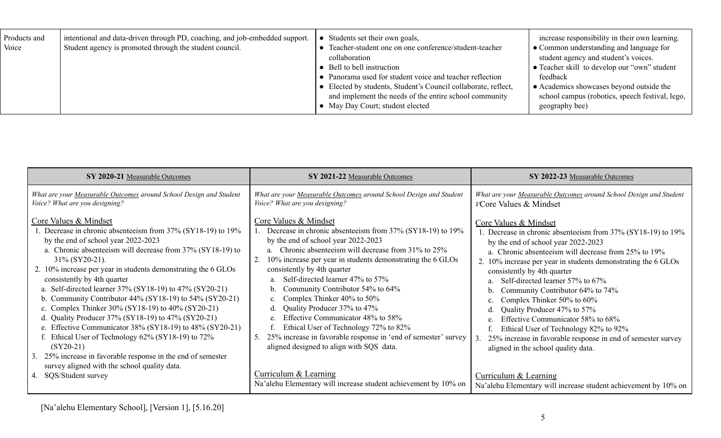| Products and<br>Voice | intentional and data-driven through PD, coaching, and job-embedded support.<br>Student agency is promoted through the student council. | Students set their own goals,<br>• Teacher-student one on one conference/student-teacher<br>collaboration<br>$\bullet$ Bell to bell instruction<br>• Panorama used for student voice and teacher reflection<br>• Elected by students, Student's Council collaborate, reflect,<br>and implement the needs of the entire school community<br>• May Day Court; student elected | increase responsibility in their own learning.<br>$\bullet$ Common understanding and language for<br>student agency and student's voices.<br>• Teacher skill to develop our "own" student<br>feedback<br>$\bullet$ Academics showcases beyond outside the<br>school campus (robotics, speech festival, lego,<br>geography bee) |
|-----------------------|----------------------------------------------------------------------------------------------------------------------------------------|-----------------------------------------------------------------------------------------------------------------------------------------------------------------------------------------------------------------------------------------------------------------------------------------------------------------------------------------------------------------------------|--------------------------------------------------------------------------------------------------------------------------------------------------------------------------------------------------------------------------------------------------------------------------------------------------------------------------------|
|-----------------------|----------------------------------------------------------------------------------------------------------------------------------------|-----------------------------------------------------------------------------------------------------------------------------------------------------------------------------------------------------------------------------------------------------------------------------------------------------------------------------------------------------------------------------|--------------------------------------------------------------------------------------------------------------------------------------------------------------------------------------------------------------------------------------------------------------------------------------------------------------------------------|

| SY 2020-21 Measurable Outcomes                                                                                                                                                                                                                                                                                                                                                                                                                                                                                                                                                                                                                                                                                                                                                                                                                 | SY 2021-22 Measurable Outcomes                                                                                                                                                                                                                                                                                                                                                                                                                                                                                                                                                                                                                                                                                                | SY 2022-23 Measurable Outcomes                                                                                                                                                                                                                                                                                                                                                                                                                                                                                                                                                                                                                                                                                        |
|------------------------------------------------------------------------------------------------------------------------------------------------------------------------------------------------------------------------------------------------------------------------------------------------------------------------------------------------------------------------------------------------------------------------------------------------------------------------------------------------------------------------------------------------------------------------------------------------------------------------------------------------------------------------------------------------------------------------------------------------------------------------------------------------------------------------------------------------|-------------------------------------------------------------------------------------------------------------------------------------------------------------------------------------------------------------------------------------------------------------------------------------------------------------------------------------------------------------------------------------------------------------------------------------------------------------------------------------------------------------------------------------------------------------------------------------------------------------------------------------------------------------------------------------------------------------------------------|-----------------------------------------------------------------------------------------------------------------------------------------------------------------------------------------------------------------------------------------------------------------------------------------------------------------------------------------------------------------------------------------------------------------------------------------------------------------------------------------------------------------------------------------------------------------------------------------------------------------------------------------------------------------------------------------------------------------------|
| What are your Measurable Outcomes around School Design and Student<br>Voice? What are you designing?                                                                                                                                                                                                                                                                                                                                                                                                                                                                                                                                                                                                                                                                                                                                           | What are your Measurable Outcomes around School Design and Student<br>Voice? What are you designing?                                                                                                                                                                                                                                                                                                                                                                                                                                                                                                                                                                                                                          | What are your Measurable Outcomes around School Design and Student<br>VCore Values & Mindset                                                                                                                                                                                                                                                                                                                                                                                                                                                                                                                                                                                                                          |
| <b>Core Values &amp; Mindset</b><br>Decrease in chronic absenteeism from 37% (SY18-19) to 19%<br>by the end of school year 2022-2023<br>a. Chronic absenteeism will decrease from 37% (SY18-19) to<br>$31\%$ (SY20-21).<br>2. 10% increase per year in students demonstrating the 6 GLOs<br>consistently by 4th quarter<br>a. Self-directed learner 37% (SY18-19) to 47% (SY20-21)<br>b. Community Contributor $44\%$ (SY18-19) to $54\%$ (SY20-21)<br>c. Complex Thinker 30% (SY18-19) to 40% (SY20-21)<br>d. Quality Producer $37\%$ (SY18-19) to $47\%$ (SY20-21)<br>e. Effective Communicator 38% (SY18-19) to 48% (SY20-21)<br>f. Ethical User of Technology 62% (SY18-19) to 72%<br>$(SY20-21)$<br>3. 25% increase in favorable response in the end of semester<br>survey aligned with the school quality data.<br>4. SQS/Student survey | Core Values & Mindset<br>1. Decrease in chronic absenteeism from 37% (SY18-19) to 19%<br>by the end of school year 2022-2023<br>Chronic absenteeism will decrease from 31% to 25%<br>a.<br>10% increase per year in students demonstrating the 6 GLOs<br>consistently by 4th quarter<br>Self-directed learner 47% to 57%<br>Community Contributor 54% to 64%<br>Complex Thinker 40% to 50%<br>c.<br>Quality Producer 37% to 47%<br>d.<br>Effective Communicator 48% to 58%<br>Ethical User of Technology 72% to 82%<br>25% increase in favorable response in 'end of semester' survey<br>aligned designed to align with SQS data.<br>Curriculum & Learning<br>Na'alehu Elementary will increase student achievement by 10% on | <b>Core Values &amp; Mindset</b><br>1. Decrease in chronic absenteeism from 37% (SY18-19) to 19%<br>by the end of school year 2022-2023<br>a. Chronic absenteeism will decrease from 25% to 19%<br>2. 10% increase per year in students demonstrating the 6 GLOs<br>consistently by 4th quarter<br>Self-directed learner 57% to 67%<br>Community Contributor 64% to 74%<br>Complex Thinker 50% to 60%<br>Quality Producer 47% to 57%<br>Effective Communicator 58% to 68%<br>Ethical User of Technology 82% to 92%<br>25% increase in favorable response in end of semester survey<br>aligned in the school quality data.<br>Curriculum & Learning<br>Na'alehu Elementary will increase student achievement by 10% on |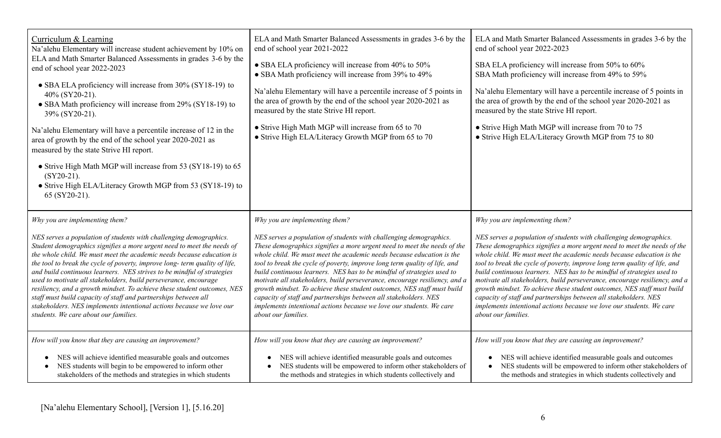| Curriculum & Learning<br>Na'alehu Elementary will increase student achievement by 10% on<br>ELA and Math Smarter Balanced Assessments in grades 3-6 by the<br>end of school year 2022-2023<br>• SBA ELA proficiency will increase from 30% (SY18-19) to<br>40% (SY20-21).<br>• SBA Math proficiency will increase from 29% (SY18-19) to<br>39% (SY20-21).<br>Na'alehu Elementary will have a percentile increase of 12 in the<br>area of growth by the end of the school year 2020-2021 as<br>measured by the state Strive HI report.<br>• Strive High Math MGP will increase from 53 (SY18-19) to 65<br>$(SY20-21)$ .<br>• Strive High ELA/Literacy Growth MGP from 53 (SY18-19) to<br>65 (SY20-21).                                               | ELA and Math Smarter Balanced Assessments in grades 3-6 by the<br>end of school year 2021-2022<br>• SBA ELA proficiency will increase from 40% to 50%<br>• SBA Math proficiency will increase from 39% to 49%<br>Na'alehu Elementary will have a percentile increase of 5 points in<br>the area of growth by the end of the school year 2020-2021 as<br>measured by the state Strive HI report.<br>• Strive High Math MGP will increase from 65 to 70<br>• Strive High ELA/Literacy Growth MGP from 65 to 70                                                                                                                                                                                                                                  | ELA and Math Smarter Balanced Assessments in grades 3-6 by the<br>end of school year 2022-2023<br>SBA ELA proficiency will increase from 50% to 60%<br>SBA Math proficiency will increase from 49% to 59%<br>Na'alehu Elementary will have a percentile increase of 5 points in<br>the area of growth by the end of the school year 2020-2021 as<br>measured by the state Strive HI report.<br>• Strive High Math MGP will increase from 70 to 75<br>• Strive High ELA/Literacy Growth MGP from 75 to 80                                                                                                                                                                                                                                      |
|-----------------------------------------------------------------------------------------------------------------------------------------------------------------------------------------------------------------------------------------------------------------------------------------------------------------------------------------------------------------------------------------------------------------------------------------------------------------------------------------------------------------------------------------------------------------------------------------------------------------------------------------------------------------------------------------------------------------------------------------------------|-----------------------------------------------------------------------------------------------------------------------------------------------------------------------------------------------------------------------------------------------------------------------------------------------------------------------------------------------------------------------------------------------------------------------------------------------------------------------------------------------------------------------------------------------------------------------------------------------------------------------------------------------------------------------------------------------------------------------------------------------|-----------------------------------------------------------------------------------------------------------------------------------------------------------------------------------------------------------------------------------------------------------------------------------------------------------------------------------------------------------------------------------------------------------------------------------------------------------------------------------------------------------------------------------------------------------------------------------------------------------------------------------------------------------------------------------------------------------------------------------------------|
| Why you are implementing them?<br>NES serves a population of students with challenging demographics.<br>Student demographics signifies a more urgent need to meet the needs of<br>the whole child. We must meet the academic needs because education is<br>the tool to break the cycle of poverty, improve long-term quality of life,<br>and build continuous learners. NES strives to be mindful of strategies<br>used to motivate all stakeholders, build perseverance, encourage<br>resiliency, and a growth mindset. To achieve these student outcomes, NES<br>staff must build capacity of staff and partnerships between all<br>stakeholders. NES implements intentional actions because we love our<br>students. We care about our families. | Why you are implementing them?<br>NES serves a population of students with challenging demographics.<br>These demographics signifies a more urgent need to meet the needs of the<br>whole child. We must meet the academic needs because education is the<br>tool to break the cycle of poverty, improve long term quality of life, and<br>build continuous learners. NES has to be mindful of strategies used to<br>motivate all stakeholders, build perseverance, encourage resiliency, and a<br>growth mindset. To achieve these student outcomes, NES staff must build<br>capacity of staff and partnerships between all stakeholders. NES<br>implements intentional actions because we love our students. We care<br>about our families. | Why you are implementing them?<br>NES serves a population of students with challenging demographics.<br>These demographics signifies a more urgent need to meet the needs of the<br>whole child. We must meet the academic needs because education is the<br>tool to break the cycle of poverty, improve long term quality of life, and<br>build continuous learners. NES has to be mindful of strategies used to<br>motivate all stakeholders, build perseverance, encourage resiliency, and a<br>growth mindset. To achieve these student outcomes, NES staff must build<br>capacity of staff and partnerships between all stakeholders. NES<br>implements intentional actions because we love our students. We care<br>about our families. |
| How will you know that they are causing an improvement?<br>NES will achieve identified measurable goals and outcomes<br>NES students will begin to be empowered to inform other<br>stakeholders of the methods and strategies in which students                                                                                                                                                                                                                                                                                                                                                                                                                                                                                                     | How will you know that they are causing an improvement?<br>NES will achieve identified measurable goals and outcomes<br>NES students will be empowered to inform other stakeholders of<br>the methods and strategies in which students collectively and                                                                                                                                                                                                                                                                                                                                                                                                                                                                                       | How will you know that they are causing an improvement?<br>NES will achieve identified measurable goals and outcomes<br>NES students will be empowered to inform other stakeholders of<br>$\bullet$<br>the methods and strategies in which students collectively and                                                                                                                                                                                                                                                                                                                                                                                                                                                                          |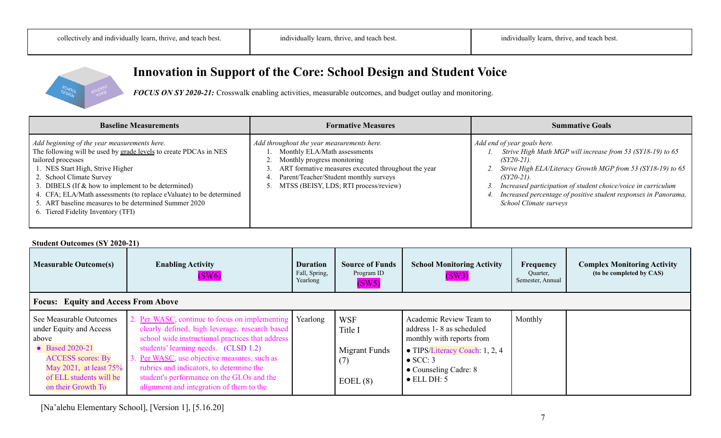

**Innovation in Support of the Core: School Design and Student Voice**

*FOCUS ON SY 2020-21:* Crosswalk enabling activities, measurable outcomes, and budget outlay and monitoring.

| <b>Baseline Measurements</b>                                                                                                                                                                                                                                                                                                                                                                                                           | <b>Formative Measures</b>                                                                                                                                                                                                                           | <b>Summative Goals</b>                                                                                                                                                                                                                                                                                                                                         |  |  |
|----------------------------------------------------------------------------------------------------------------------------------------------------------------------------------------------------------------------------------------------------------------------------------------------------------------------------------------------------------------------------------------------------------------------------------------|-----------------------------------------------------------------------------------------------------------------------------------------------------------------------------------------------------------------------------------------------------|----------------------------------------------------------------------------------------------------------------------------------------------------------------------------------------------------------------------------------------------------------------------------------------------------------------------------------------------------------------|--|--|
| Add beginning of the year measurements here.<br>The following will be used by grade levels to create PDCAs in NES<br>tailored processes<br>1. NES Start High, Strive Higher<br>2. School Climate Survey<br>3. DIBELS (If $\&$ how to implement to be determined)<br>4. CFA; ELA/Math assessments (to replace eValuate) to be determined<br>5. ART baseline measures to be determined Summer 2020<br>6. Tiered Fidelity Inventory (TFI) | Add throughout the year measurements here.<br>Monthly ELA/Math assessments<br>Monthly progress monitoring<br>ART formative measures executed throughout the year<br>Parent/Teacher/Student monthly surveys<br>MTSS (BEISY, LDS; RTI process/review) | Add end of year goals here.<br>1. Strive High Math MGP will increase from 53 (SY18-19) to 65<br>$(SY20-21)$ .<br>2. Strive High ELA/Literacy Growth MGP from 53 (SY18-19) to 65<br>$(SY20-21)$ .<br>Increased participation of student choice/voice in curriculum<br>Increased percentage of positive student responses in Panorama,<br>School Climate surveys |  |  |

#### **Student Outcomes (SY 2020-21)**

| <b>Measurable Outcome(s)</b>                                                                                                                                                          | <b>Enabling Activity</b><br>(SW6)                                                                                                                                                                                                                                                                                                                                              | <b>Duration</b><br>Fall, Spring,<br>Yearlong | <b>Source of Funds</b><br>Program ID<br>(SW5)            | <b>School Monitoring Activity</b><br>(SW3)                                                                                                                                                       | Frequency<br>Quarter,<br>Semester, Annual | <b>Complex Monitoring Activity</b><br>(to be completed by CAS) |  |
|---------------------------------------------------------------------------------------------------------------------------------------------------------------------------------------|--------------------------------------------------------------------------------------------------------------------------------------------------------------------------------------------------------------------------------------------------------------------------------------------------------------------------------------------------------------------------------|----------------------------------------------|----------------------------------------------------------|--------------------------------------------------------------------------------------------------------------------------------------------------------------------------------------------------|-------------------------------------------|----------------------------------------------------------------|--|
| <b>Focus:</b> Equity and Access From Above                                                                                                                                            |                                                                                                                                                                                                                                                                                                                                                                                |                                              |                                                          |                                                                                                                                                                                                  |                                           |                                                                |  |
| See Measurable Outcomes<br>under Equity and Access<br>above<br>• Based 2020-21<br><b>ACCESS</b> scores: By<br>May 2021, at least 75%<br>of ELL students will be<br>on their Growth To | 2. Per WASC, continue to focus on implementing<br>clearly defined, high leverage, research based<br>school wide instructional practices that address<br>students' learning needs. (CLSD 1.2)<br>Per WASC, use objective measures, such as<br>rubrics and indicators, to determine the<br>student's performance on the GLOs and the<br>alignment and integration of them to the | Yearlong                                     | <b>WSF</b><br>Title I<br>Migrant Funds<br>(7)<br>EOEL(8) | Academic Review Team to<br>address 1 - 8 as scheduled<br>monthly with reports from<br>$\bullet$ TIPS/Literacy Coach: 1, 2, 4<br>$\bullet$ SCC: 3<br>• Counseling Cadre: 8<br>$\bullet$ ELL DH: 5 | Monthly                                   |                                                                |  |

[Na'alehu Elementary School], [Version 1], [5.16.20]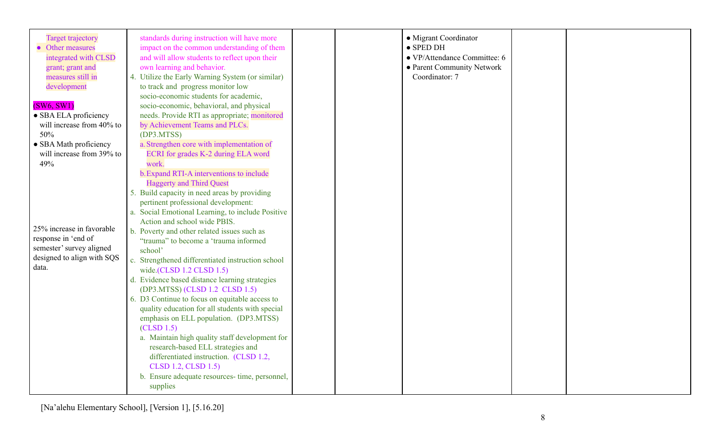| <b>Target trajectory</b><br>• Other measures<br>integrated with CLSD<br>grant; grant and<br>measures still in<br>development<br>(SW6, SW1) | standards during instruction will have more<br>impact on the common understanding of them<br>and will allow students to reflect upon their<br>own learning and behavior.<br>4. Utilize the Early Warning System (or similar)<br>to track and progress monitor low<br>socio-economic students for academic,<br>socio-economic, behavioral, and physical                                                                                                                                                                                                                                                                                                                                                                                                                                   |  | • Migrant Coordinator<br>$\bullet$ SPED DH<br>• VP/Attendance Committee: 6<br>• Parent Community Network<br>Coordinator: 7 |  |
|--------------------------------------------------------------------------------------------------------------------------------------------|------------------------------------------------------------------------------------------------------------------------------------------------------------------------------------------------------------------------------------------------------------------------------------------------------------------------------------------------------------------------------------------------------------------------------------------------------------------------------------------------------------------------------------------------------------------------------------------------------------------------------------------------------------------------------------------------------------------------------------------------------------------------------------------|--|----------------------------------------------------------------------------------------------------------------------------|--|
| • SBA ELA proficiency                                                                                                                      | needs. Provide RTI as appropriate; monitored                                                                                                                                                                                                                                                                                                                                                                                                                                                                                                                                                                                                                                                                                                                                             |  |                                                                                                                            |  |
| will increase from 40% to                                                                                                                  | by Achievement Teams and PLCs.                                                                                                                                                                                                                                                                                                                                                                                                                                                                                                                                                                                                                                                                                                                                                           |  |                                                                                                                            |  |
| 50%                                                                                                                                        | (DP3.MTSS)                                                                                                                                                                                                                                                                                                                                                                                                                                                                                                                                                                                                                                                                                                                                                                               |  |                                                                                                                            |  |
| • SBA Math proficiency                                                                                                                     | a. Strengthen core with implementation of                                                                                                                                                                                                                                                                                                                                                                                                                                                                                                                                                                                                                                                                                                                                                |  |                                                                                                                            |  |
| will increase from 39% to                                                                                                                  | ECRI for grades K-2 during ELA word                                                                                                                                                                                                                                                                                                                                                                                                                                                                                                                                                                                                                                                                                                                                                      |  |                                                                                                                            |  |
| 49%                                                                                                                                        | work.                                                                                                                                                                                                                                                                                                                                                                                                                                                                                                                                                                                                                                                                                                                                                                                    |  |                                                                                                                            |  |
| 25% increase in favorable<br>response in 'end of<br>semester' survey aligned<br>designed to align with SQS<br>data.                        | b. Expand RTI-A interventions to include<br><b>Haggerty and Third Quest</b><br>5. Build capacity in need areas by providing<br>pertinent professional development:<br>a. Social Emotional Learning, to include Positive<br>Action and school wide PBIS.<br>b. Poverty and other related issues such as<br>"trauma" to become a 'trauma informed<br>school'<br>c. Strengthened differentiated instruction school<br>wide.(CLSD $1.2$ CLSD $1.5$ )<br>d. Evidence based distance learning strategies<br>(DP3.MTSS) (CLSD 1.2 CLSD 1.5)<br>6. D3 Continue to focus on equitable access to<br>quality education for all students with special<br>emphasis on ELL population. (DP3.MTSS)<br>(CLSD 1.5)<br>a. Maintain high quality staff development for<br>research-based ELL strategies and |  |                                                                                                                            |  |
|                                                                                                                                            | differentiated instruction. (CLSD 1.2,<br>CLSD 1.2, CLSD 1.5)<br>b. Ensure adequate resources-time, personnel,<br>supplies                                                                                                                                                                                                                                                                                                                                                                                                                                                                                                                                                                                                                                                               |  |                                                                                                                            |  |

[Na'alehu Elementary School], [Version 1], [5.16.20]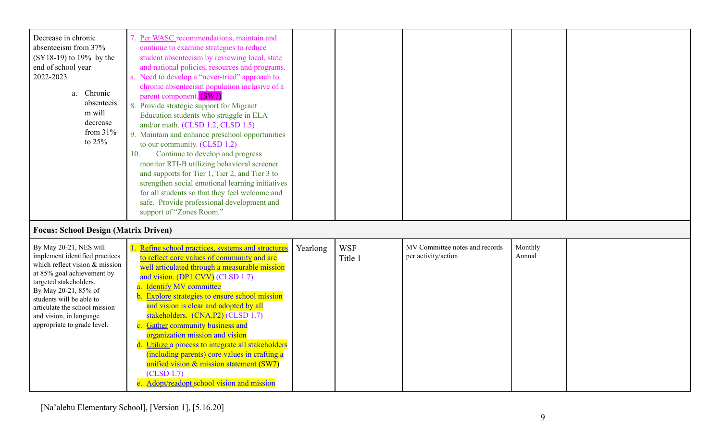| Decrease in chronic                         | Per WASC recommendations, maintain and           |          |            |                                |         |  |
|---------------------------------------------|--------------------------------------------------|----------|------------|--------------------------------|---------|--|
| absenteeism from 37%                        | continue to examine strategies to reduce         |          |            |                                |         |  |
| $(SY18-19)$ to 19% by the                   | student absenteeism by reviewing local, state    |          |            |                                |         |  |
| end of school year                          | and national policies, resources and programs.   |          |            |                                |         |  |
| 2022-2023                                   | Need to develop a "never-tried" approach to      |          |            |                                |         |  |
|                                             | chronic absenteeism population inclusive of a    |          |            |                                |         |  |
| Chronic<br>a.                               | parent component. (SW7)                          |          |            |                                |         |  |
| absenteeis                                  | 8. Provide strategic support for Migrant         |          |            |                                |         |  |
| m will                                      | Education students who struggle in ELA           |          |            |                                |         |  |
| decrease                                    | and/or math. (CLSD 1.2, CLSD 1.5)                |          |            |                                |         |  |
| from $31%$                                  | Maintain and enhance preschool opportunities     |          |            |                                |         |  |
| to $25%$                                    | to our community. (CLSD 1.2)                     |          |            |                                |         |  |
|                                             | Continue to develop and progress<br>10.          |          |            |                                |         |  |
|                                             | monitor RTI-B utilizing behavioral screener      |          |            |                                |         |  |
|                                             | and supports for Tier 1, Tier 2, and Tier 3 to   |          |            |                                |         |  |
|                                             | strengthen social emotional learning initiatives |          |            |                                |         |  |
|                                             | for all students so that they feel welcome and   |          |            |                                |         |  |
|                                             | safe. Provide professional development and       |          |            |                                |         |  |
|                                             | support of "Zones Room."                         |          |            |                                |         |  |
|                                             |                                                  |          |            |                                |         |  |
| <b>Focus: School Design (Matrix Driven)</b> |                                                  |          |            |                                |         |  |
| By May 20-21, NES will                      | Refine school practices, systems and structures  | Yearlong | <b>WSF</b> | MV Committee notes and records | Monthly |  |
| implement identified practices              | to reflect core values of community and are      |          | Title 1    | per activity/action            | Annual  |  |
| which reflect vision $&$ mission            | well articulated through a measurable mission    |          |            |                                |         |  |
| at 85% goal achievement by                  | and vision. (DP1.CVV) (CLSD 1.7)                 |          |            |                                |         |  |
| targeted stakeholders.                      | <b>Identify MV committee</b>                     |          |            |                                |         |  |
| By May 20-21, 85% of                        | Evalore strategias to anguna sahaal mission      |          |            |                                |         |  |

| By May 20-21, NES will<br>implement identified practices<br>which reflect vision $\&$ mission<br>at 85% goal achievement by<br>targeted stakeholders.<br>By May 20-21, 85% of<br>students will be able to<br>articulate the school mission<br>and vision, in language<br>appropriate to grade level. | Refine school practices, systems and structures<br>to reflect core values of community and are<br>well articulated through a measurable mission<br>and vision. (DP1.CVV) (CLSD 1.7)<br><b>Identify MV committee</b><br><b>Explore</b> strategies to ensure school mission<br>and vision is clear and adopted by all<br>stakeholders. (CNA.P2) (CLSD 1.7)<br><b>Gather community business and</b><br>organization mission and vision | Yearlong | <b>WSF</b><br>Title 1 | MV Committee notes and records<br>per activity/action | Monthly<br>Annual |  |
|------------------------------------------------------------------------------------------------------------------------------------------------------------------------------------------------------------------------------------------------------------------------------------------------------|-------------------------------------------------------------------------------------------------------------------------------------------------------------------------------------------------------------------------------------------------------------------------------------------------------------------------------------------------------------------------------------------------------------------------------------|----------|-----------------------|-------------------------------------------------------|-------------------|--|
|                                                                                                                                                                                                                                                                                                      |                                                                                                                                                                                                                                                                                                                                                                                                                                     |          |                       |                                                       |                   |  |
|                                                                                                                                                                                                                                                                                                      | Utilize a process to integrate all stakeholders                                                                                                                                                                                                                                                                                                                                                                                     |          |                       |                                                       |                   |  |
|                                                                                                                                                                                                                                                                                                      | (including parents) core values in crafting a<br>unified vision $\&$ mission statement (SW7)                                                                                                                                                                                                                                                                                                                                        |          |                       |                                                       |                   |  |
|                                                                                                                                                                                                                                                                                                      | (CLSD 1.7)                                                                                                                                                                                                                                                                                                                                                                                                                          |          |                       |                                                       |                   |  |
|                                                                                                                                                                                                                                                                                                      | Adopt/readopt school vision and mission                                                                                                                                                                                                                                                                                                                                                                                             |          |                       |                                                       |                   |  |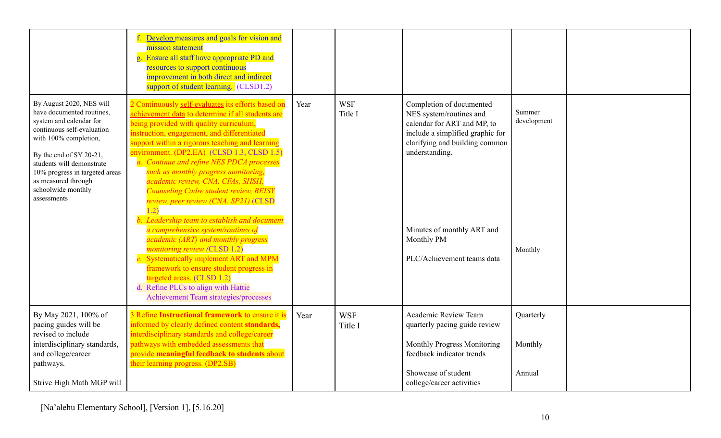|                                                                                                                                                                                                                                                                                               | Develop measures and goals for vision and<br>mission statement<br>Ensure all staff have appropriate PD and<br>resources to support continuous<br>improvement in both direct and indirect<br>support of student learning. (CLSD1.2)                                                                                                                                                                                                                                                                                                                                                                                                                                                                                                                                                                                                                                                                  |      |                       |                                                                                                                                                                                                                                                      |                                  |  |
|-----------------------------------------------------------------------------------------------------------------------------------------------------------------------------------------------------------------------------------------------------------------------------------------------|-----------------------------------------------------------------------------------------------------------------------------------------------------------------------------------------------------------------------------------------------------------------------------------------------------------------------------------------------------------------------------------------------------------------------------------------------------------------------------------------------------------------------------------------------------------------------------------------------------------------------------------------------------------------------------------------------------------------------------------------------------------------------------------------------------------------------------------------------------------------------------------------------------|------|-----------------------|------------------------------------------------------------------------------------------------------------------------------------------------------------------------------------------------------------------------------------------------------|----------------------------------|--|
| By August 2020, NES will<br>have documented routines,<br>system and calendar for<br>continuous self-evaluation<br>with 100% completion,<br>By the end of SY 20-21,<br>students will demonstrate<br>10% progress in targeted areas<br>as measured through<br>schoolwide monthly<br>assessments | 2 Continuously self-evaluates its efforts based on<br>achievement data to determine if all students are<br>being provided with quality curriculum,<br>instruction, engagement, and differentiated<br>support within a rigorous teaching and learning<br>environment. (DP2.EA) (CLSD 1.3, CLSD 1.5)<br>a. Continue and refine NES PDCA processes<br>such as monthly progress monitoring,<br>academic review, CNA, CFAs, SHSH,<br><b>Counseling Cadre student review, BEISY</b><br>review, peer review (CNA. SP21) (CLSD<br>1.2)<br>Leadership team to establish and document<br>a comprehensive system/routines of<br>academic (ART) and monthly progress<br><i>monitoring review (CLSD 1.2)</i><br>c. Systematically implement ART and MPM<br>framework to ensure student progress in<br>targeted areas. (CLSD 1.2)<br>d. Refine PLCs to align with Hattie<br>Achievement Team strategies/processes | Year | <b>WSF</b><br>Title I | Completion of documented<br>NES system/routines and<br>calendar for ART and MP, to<br>include a simplified graphic for<br>clarifying and building common<br>understanding.<br>Minutes of monthly ART and<br>Monthly PM<br>PLC/Achievement teams data | Summer<br>development<br>Monthly |  |
| By May 2021, 100% of<br>pacing guides will be<br>revised to include<br>interdisciplinary standards,<br>and college/career<br>pathways.<br>Strive High Math MGP will                                                                                                                           | 3 Refine Instructional framework to ensure it is<br>informed by clearly defined content standards,<br>interdisciplinary standards and college/career<br>pathways with embedded assessments that<br>provide meaningful feedback to students about<br>their learning progress. (DP2.SB)                                                                                                                                                                                                                                                                                                                                                                                                                                                                                                                                                                                                               | Year | <b>WSF</b><br>Title I | Academic Review Team<br>quarterly pacing guide review<br>Monthly Progress Monitoring<br>feedback indicator trends<br>Showcase of student<br>college/career activities                                                                                | Quarterly<br>Monthly<br>Annual   |  |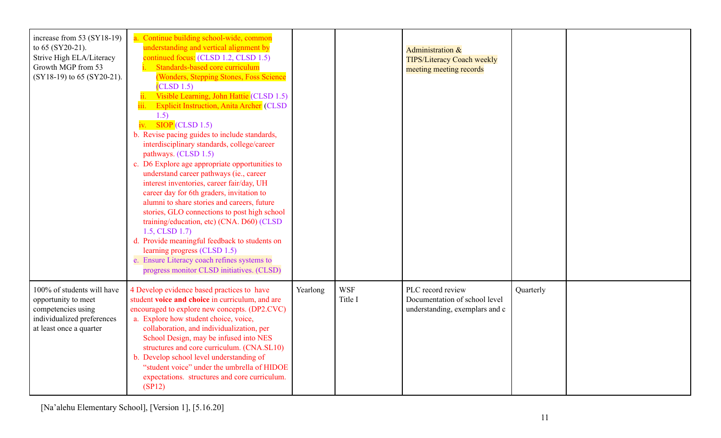| increase from 53 $(SY18-19)$<br>to 65 (SY20-21).<br>Strive High ELA/Literacy<br>Growth MGP from 53<br>(SY18-19) to 65 (SY20-21). | a. Continue building school-wide, common<br>understanding and vertical alignment by<br>continued focus: (CLSD 1.2, CLSD 1.5)<br>Standards-based core curriculum<br>(Wonders, Stepping Stones, Foss Science<br>(CLSD 1.5)<br>Visible Learning, John Hattie (CLSD 1.5)<br>$\dddot{\mathbf{i}}$ .<br><b>Explicit Instruction, Anita Archer</b> (CLSD<br>iii.<br>1.5)<br>iv. $SIOP$ (CLSD 1.5)<br>b. Revise pacing guides to include standards,<br>interdisciplinary standards, college/career<br>pathways. (CLSD 1.5)<br>c. D6 Explore age appropriate opportunities to<br>understand career pathways (ie., career<br>interest inventories, career fair/day, UH<br>career day for 6th graders, invitation to<br>alumni to share stories and careers, future<br>stories, GLO connections to post high school<br>training/education, etc) (CNA. D60) (CLSD<br>$1.5$ , CLSD $1.7$ )<br>d. Provide meaningful feedback to students on<br>learning progress (CLSD 1.5)<br>e. Ensure Literacy coach refines systems to<br>progress monitor CLSD initiatives. (CLSD) |          |                       | Administration &<br><b>TIPS/Literacy Coach weekly</b><br>meeting meeting records     |           |  |
|----------------------------------------------------------------------------------------------------------------------------------|------------------------------------------------------------------------------------------------------------------------------------------------------------------------------------------------------------------------------------------------------------------------------------------------------------------------------------------------------------------------------------------------------------------------------------------------------------------------------------------------------------------------------------------------------------------------------------------------------------------------------------------------------------------------------------------------------------------------------------------------------------------------------------------------------------------------------------------------------------------------------------------------------------------------------------------------------------------------------------------------------------------------------------------------------------|----------|-----------------------|--------------------------------------------------------------------------------------|-----------|--|
| 100% of students will have<br>opportunity to meet<br>competencies using<br>individualized preferences<br>at least once a quarter | 4 Develop evidence based practices to have<br>student voice and choice in curriculum, and are<br>encouraged to explore new concepts. (DP2.CVC)<br>a. Explore how student choice, voice,<br>collaboration, and individualization, per<br>School Design, may be infused into NES<br>structures and core curriculum. (CNA.SL10)<br>b. Develop school level understanding of<br>"student voice" under the umbrella of HIDOE<br>expectations. structures and core curriculum.<br>(SP12)                                                                                                                                                                                                                                                                                                                                                                                                                                                                                                                                                                         | Yearlong | <b>WSF</b><br>Title I | PLC record review<br>Documentation of school level<br>understanding, exemplars and c | Quarterly |  |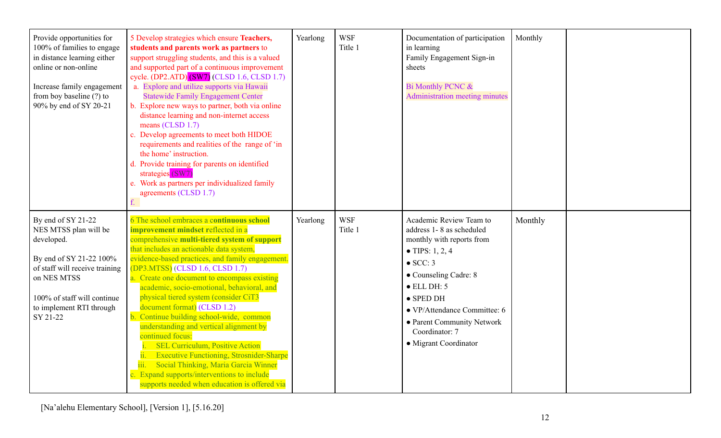| Provide opportunities for<br>100% of families to engage<br>in distance learning either<br>online or non-online<br>Increase family engagement<br>from boy baseline (?) to<br>90% by end of SY 20-21           | 5 Develop strategies which ensure Teachers,<br>students and parents work as partners to<br>support struggling students, and this is a valued<br>and supported part of a continuous improvement<br>cycle. (DP2.ATD) (SW7) (CLSD 1.6, CLSD 1.7)<br>a. Explore and utilize supports via Hawaii<br><b>Statewide Family Engagement Center</b><br>b. Explore new ways to partner, both via online<br>distance learning and non-internet access<br>means (CLSD 1.7)<br>c. Develop agreements to meet both HIDOE<br>requirements and realities of the range of 'in<br>the home' instruction.<br>d. Provide training for parents on identified<br>strategies (SW7)<br>e. Work as partners per individualized family<br>agreements (CLSD 1.7)                                                             | Yearlong | <b>WSF</b><br>Title 1 | Documentation of participation<br>in learning<br>Family Engagement Sign-in<br>sheets<br>Bi Monthly PCNC &<br><b>Administration meeting minutes</b>                                                                                                                                                    | Monthly |  |
|--------------------------------------------------------------------------------------------------------------------------------------------------------------------------------------------------------------|-------------------------------------------------------------------------------------------------------------------------------------------------------------------------------------------------------------------------------------------------------------------------------------------------------------------------------------------------------------------------------------------------------------------------------------------------------------------------------------------------------------------------------------------------------------------------------------------------------------------------------------------------------------------------------------------------------------------------------------------------------------------------------------------------|----------|-----------------------|-------------------------------------------------------------------------------------------------------------------------------------------------------------------------------------------------------------------------------------------------------------------------------------------------------|---------|--|
| By end of SY 21-22<br>NES MTSS plan will be<br>developed.<br>By end of SY 21-22 100%<br>of staff will receive training<br>on NES MTSS<br>100% of staff will continue<br>to implement RTI through<br>SY 21-22 | 6 The school embraces a continuous school<br><b>improvement mindset reflected in a</b><br>comprehensive multi-tiered system of support<br>that includes an actionable data system,<br>evidence-based practices, and family engagement.<br>(DP3.MTSS) (CLSD 1.6, CLSD 1.7)<br>a. Create one document to encompass existing<br>academic, socio-emotional, behavioral, and<br>physical tiered system (consider CiT3<br>document format) (CLSD 1.2)<br>b. Continue building school-wide, common<br>understanding and vertical alignment by<br>continued focus:<br><b>SEL Curriculum, Positive Action</b><br><b>Executive Functioning, Strosnider-Sharpe</b><br>Social Thinking, Maria Garcia Winner<br>c. Expand supports/interventions to include<br>supports needed when education is offered via | Yearlong | <b>WSF</b><br>Title 1 | Academic Review Team to<br>address 1-8 as scheduled<br>monthly with reports from<br>• TIPS: 1, 2, 4<br>$\bullet$ SCC: 3<br>• Counseling Cadre: 8<br>$\bullet$ ELL DH: 5<br>$\bullet$ SPED DH<br>• VP/Attendance Committee: 6<br>• Parent Community Network<br>Coordinator: 7<br>• Migrant Coordinator | Monthly |  |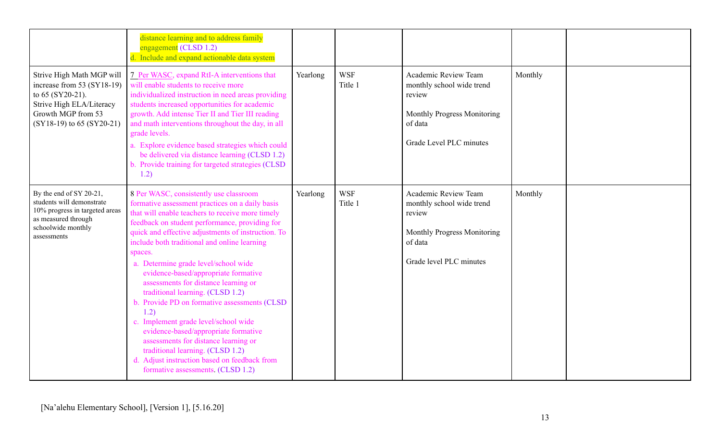|                                                                                                                                                              | distance learning and to address family<br>engagement (CLSD 1.2)<br>d. Include and expand actionable data system                                                                                                                                                                                                                                                                                                                                                                                                                                                                                                                                                                                                                                                                      |          |                       |                                                                                                                                  |         |  |
|--------------------------------------------------------------------------------------------------------------------------------------------------------------|---------------------------------------------------------------------------------------------------------------------------------------------------------------------------------------------------------------------------------------------------------------------------------------------------------------------------------------------------------------------------------------------------------------------------------------------------------------------------------------------------------------------------------------------------------------------------------------------------------------------------------------------------------------------------------------------------------------------------------------------------------------------------------------|----------|-----------------------|----------------------------------------------------------------------------------------------------------------------------------|---------|--|
| Strive High Math MGP will<br>increase from 53 (SY18-19)<br>to $65$ (SY20-21).<br>Strive High ELA/Literacy<br>Growth MGP from 53<br>(SY18-19) to 65 (SY20-21) | 7 Per WASC, expand RtI-A interventions that<br>will enable students to receive more<br>individualized instruction in need areas providing<br>students increased opportunities for academic<br>growth. Add intense Tier II and Tier III reading<br>and math interventions throughout the day, in all<br>grade levels.<br>a. Explore evidence based strategies which could<br>be delivered via distance learning (CLSD 1.2)<br>b. Provide training for targeted strategies (CLSD<br>1.2)                                                                                                                                                                                                                                                                                                | Yearlong | <b>WSF</b><br>Title 1 | Academic Review Team<br>monthly school wide trend<br>review<br>Monthly Progress Monitoring<br>of data<br>Grade Level PLC minutes | Monthly |  |
| By the end of SY 20-21,<br>students will demonstrate<br>10% progress in targeted areas<br>as measured through<br>schoolwide monthly<br>assessments           | 8 Per WASC, consistently use classroom<br>formative assessment practices on a daily basis<br>that will enable teachers to receive more timely<br>feedback on student performance, providing for<br>quick and effective adjustments of instruction. To<br>include both traditional and online learning<br>spaces.<br>a. Determine grade level/school wide<br>evidence-based/appropriate formative<br>assessments for distance learning or<br>traditional learning. (CLSD 1.2)<br>b. Provide PD on formative assessments (CLSD<br>1.2)<br>c. Implement grade level/school wide<br>evidence-based/appropriate formative<br>assessments for distance learning or<br>traditional learning. (CLSD 1.2)<br>d. Adjust instruction based on feedback from<br>formative assessments. (CLSD 1.2) | Yearlong | <b>WSF</b><br>Title 1 | Academic Review Team<br>monthly school wide trend<br>review<br>Monthly Progress Monitoring<br>of data<br>Grade level PLC minutes | Monthly |  |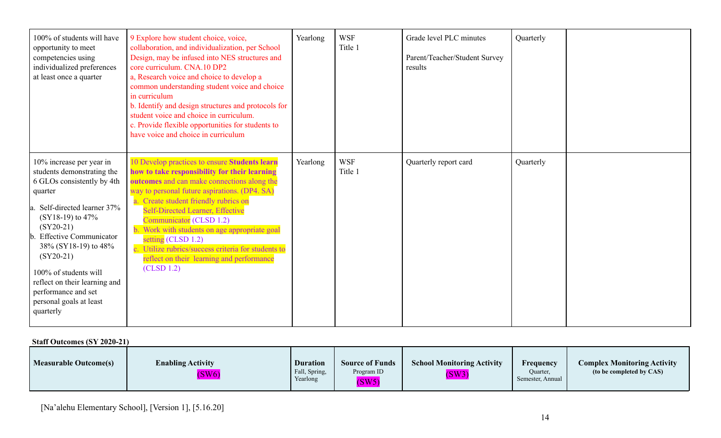| 100% of students will have<br>opportunity to meet<br>competencies using<br>individualized preferences<br>at least once a quarter                                                                                                                                                                                                                                      | 9 Explore how student choice, voice,<br>collaboration, and individualization, per School<br>Design, may be infused into NES structures and<br>core curriculum. CNA.10 DP2<br>a, Research voice and choice to develop a<br>common understanding student voice and choice<br>in curriculum<br>b. Identify and design structures and protocols for<br>student voice and choice in curriculum.<br>c. Provide flexible opportunities for students to<br>have voice and choice in curriculum                | Yearlong | <b>WSF</b><br>Title 1 | Grade level PLC minutes<br>Parent/Teacher/Student Survey<br>results | Quarterly |  |
|-----------------------------------------------------------------------------------------------------------------------------------------------------------------------------------------------------------------------------------------------------------------------------------------------------------------------------------------------------------------------|-------------------------------------------------------------------------------------------------------------------------------------------------------------------------------------------------------------------------------------------------------------------------------------------------------------------------------------------------------------------------------------------------------------------------------------------------------------------------------------------------------|----------|-----------------------|---------------------------------------------------------------------|-----------|--|
| 10% increase per year in<br>students demonstrating the<br>6 GLOs consistently by 4th<br>quarter<br>Self-directed learner 37%<br>$(SY18-19)$ to 47%<br>$(SY20-21)$<br><b>b.</b> Effective Communicator<br>38% (SY18-19) to 48%<br>$(SY20-21)$<br>100% of students will<br>reflect on their learning and<br>performance and set<br>personal goals at least<br>quarterly | 10 Develop practices to ensure Students learn<br>how to take responsibility for their learning<br>outcomes and can make connections along the<br>way to personal future aspirations. (DP4. SA)<br>a. Create student friendly rubrics on<br><b>Self-Directed Learner, Effective</b><br>Communicator (CLSD 1.2)<br>Work with students on age appropriate goal<br>setting $(CLSD 1.2)$<br>c. Utilize rubrics/success criteria for students to<br>reflect on their learning and performance<br>(CLSD 1.2) | Yearlong | <b>WSF</b><br>Title 1 | Quarterly report card                                               | Quarterly |  |

#### **Staff Outcomes (SY 2020-21)**

| <b>Measurable Outcome(s)</b> | <b>Enabling Activity</b><br>(SW6) | <b>Duration</b><br>Fall, Spring,<br>Yearlong | <b>Source of Funds</b><br>Program ID<br>(SW5) | <b>School Monitoring Activity</b><br>(SW3) | Frequency<br>Quarter,<br>Semester, Annual | <b>Complex Monitoring Activity</b><br>(to be completed by CAS) |
|------------------------------|-----------------------------------|----------------------------------------------|-----------------------------------------------|--------------------------------------------|-------------------------------------------|----------------------------------------------------------------|
|------------------------------|-----------------------------------|----------------------------------------------|-----------------------------------------------|--------------------------------------------|-------------------------------------------|----------------------------------------------------------------|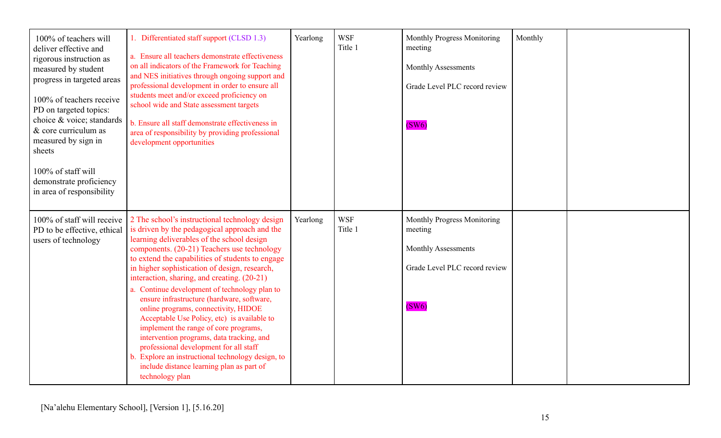| 100% of teachers will<br>deliver effective and<br>rigorous instruction as<br>measured by student<br>progress in targeted areas<br>100% of teachers receive<br>PD on targeted topics:<br>choice & voice; standards<br>& core curriculum as<br>measured by sign in<br>sheets<br>100% of staff will<br>demonstrate proficiency<br>in area of responsibility | 1. Differentiated staff support (CLSD 1.3)<br>a. Ensure all teachers demonstrate effectiveness<br>on all indicators of the Framework for Teaching<br>and NES initiatives through ongoing support and<br>professional development in order to ensure all<br>students meet and/or exceed proficiency on<br>school wide and State assessment targets<br>b. Ensure all staff demonstrate effectiveness in<br>area of responsibility by providing professional<br>development opportunities                                                                                                                                                                                                                                                                                                   | Yearlong | <b>WSF</b><br>Title 1 | Monthly Progress Monitoring<br>meeting<br><b>Monthly Assessments</b><br>Grade Level PLC record review<br>(SW6) | Monthly |  |
|----------------------------------------------------------------------------------------------------------------------------------------------------------------------------------------------------------------------------------------------------------------------------------------------------------------------------------------------------------|------------------------------------------------------------------------------------------------------------------------------------------------------------------------------------------------------------------------------------------------------------------------------------------------------------------------------------------------------------------------------------------------------------------------------------------------------------------------------------------------------------------------------------------------------------------------------------------------------------------------------------------------------------------------------------------------------------------------------------------------------------------------------------------|----------|-----------------------|----------------------------------------------------------------------------------------------------------------|---------|--|
| 100% of staff will receive<br>PD to be effective, ethical<br>users of technology                                                                                                                                                                                                                                                                         | 2 The school's instructional technology design<br>is driven by the pedagogical approach and the<br>learning deliverables of the school design<br>components. (20-21) Teachers use technology<br>to extend the capabilities of students to engage<br>in higher sophistication of design, research,<br>interaction, sharing, and creating. (20-21)<br>a. Continue development of technology plan to<br>ensure infrastructure (hardware, software,<br>online programs, connectivity, HIDOE<br>Acceptable Use Policy, etc) is available to<br>implement the range of core programs,<br>intervention programs, data tracking, and<br>professional development for all staff<br>Explore an instructional technology design, to<br>include distance learning plan as part of<br>technology plan | Yearlong | <b>WSF</b><br>Title 1 | Monthly Progress Monitoring<br>meeting<br><b>Monthly Assessments</b><br>Grade Level PLC record review<br>(SW6) |         |  |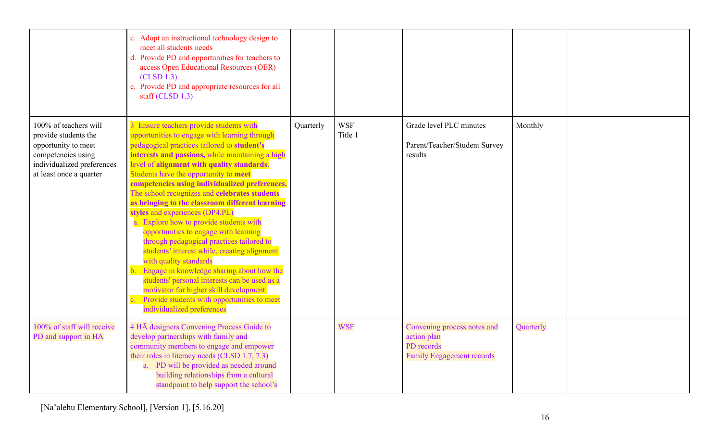|                                                                                                                                                     | c. Adopt an instructional technology design to<br>meet all students needs<br>d. Provide PD and opportunities for teachers to<br>access Open Educational Resources (OER)<br>(CLSD 1.3)<br>e. Provide PD and appropriate resources for all<br>staff (CLSD $1.3$ )                                                                                                                                                                                                                                                                                                                                                                                                                                                                                                                                                                                                                                              |           |                       |                                                                                              |           |  |
|-----------------------------------------------------------------------------------------------------------------------------------------------------|--------------------------------------------------------------------------------------------------------------------------------------------------------------------------------------------------------------------------------------------------------------------------------------------------------------------------------------------------------------------------------------------------------------------------------------------------------------------------------------------------------------------------------------------------------------------------------------------------------------------------------------------------------------------------------------------------------------------------------------------------------------------------------------------------------------------------------------------------------------------------------------------------------------|-----------|-----------------------|----------------------------------------------------------------------------------------------|-----------|--|
| 100% of teachers will<br>provide students the<br>opportunity to meet<br>competencies using<br>individualized preferences<br>at least once a quarter | 3 Ensure teachers provide students with<br>opportunities to engage with learning through<br>pedagogical practices tailored to student's<br>interests and passions, while maintaining a high<br>level of alignment with quality standards.<br>Students have the opportunity to meet<br>competencies using individualized preferences.<br>The school recognizes and celebrates students<br>as bringing to the classroom different learning<br>styles and experiences (DP4.PL)<br>a. Explore how to provide students with<br>opportunities to engage with learning<br>through pedagogical practices tailored to<br>students' interest while, creating alignment<br>with quality standards<br>Engage in knowledge sharing about how the<br>students' personal interests can be used as a<br>motivator for higher skill development.<br>Provide students with opportunities to meet<br>individualized preferences | Quarterly | <b>WSF</b><br>Title 1 | Grade level PLC minutes<br>Parent/Teacher/Student Survey<br>results                          | Monthly   |  |
| 100% of staff will receive<br>PD and support in HA                                                                                                  | 4 HĀ designers Convening Process Guide to<br>develop partnerships with family and<br>community members to engage and empower<br>their roles in literacy needs (CLSD 1.7, 7.3)<br>a. PD will be provided as needed around<br>building relationships from a cultural<br>standpoint to help support the school's                                                                                                                                                                                                                                                                                                                                                                                                                                                                                                                                                                                                |           | <b>WSF</b>            | Convening process notes and<br>action plan<br>PD records<br><b>Family Engagement records</b> | Quarterly |  |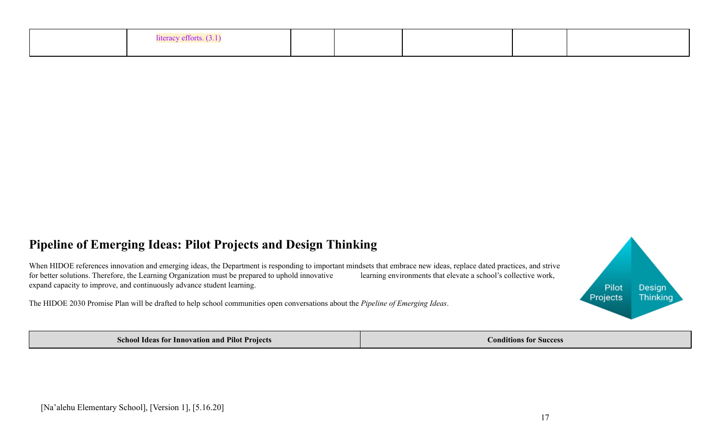| z ettorts |  |  |  |
|-----------|--|--|--|
|           |  |  |  |

### **Pipeline of Emerging Ideas: Pilot Projects and Design Thinking**

When HIDOE references innovation and emerging ideas, the Department is responding to important mindsets that embrace new ideas, replace dated practices, and strive for better solutions. Therefore, the Learning Organization must be prepared to uphold innovative learning environments that elevate a school's collective work, expand capacity to improve, and continuously advance student learning.

The HIDOE 2030 Promise Plan will be drafted to help school communities open conversations about the *Pipeline of Emerging Ideas*.

**School Ideas for Innovation and Pilot Projects Conditions Conditions Conditions Conditions Conditions Conditions Conditions Conditions Conditions Conditions Conditions Conditions Conditions Con**